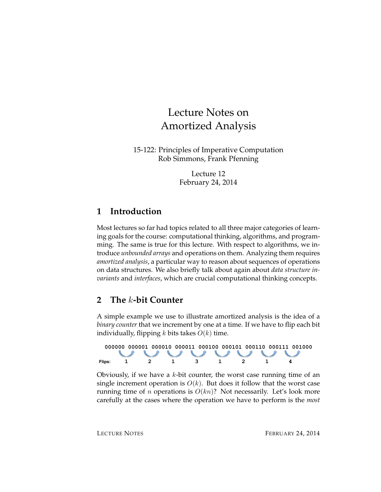# Lecture Notes on Amortized Analysis

15-122: Principles of Imperative Computation Rob Simmons, Frank Pfenning

> Lecture 12 February 24, 2014

#### **1 Introduction**

Most lectures so far had topics related to all three major categories of learning goals for the course: computational thinking, algorithms, and programming. The same is true for this lecture. With respect to algorithms, we introduce *unbounded arrays* and operations on them. Analyzing them requires *amortized analysis*, a particular way to reason about sequences of operations on data structures. We also briefly talk about again about *data structure invariants* and *interfaces*, which are crucial computational thinking concepts.

#### **2 The** k**-bit Counter**

A simple example we use to illustrate amortized analysis is the idea of a *binary counter* that we increment by one at a time. If we have to flip each bit individually, flipping k bits takes  $O(k)$  time.



Obviously, if we have a  $k$ -bit counter, the worst case running time of an single increment operation is  $O(k)$ . But does it follow that the worst case running time of *n* operations is  $O(kn)$ ? Not necessarily. Let's look more carefully at the cases where the operation we have to perform is the *most*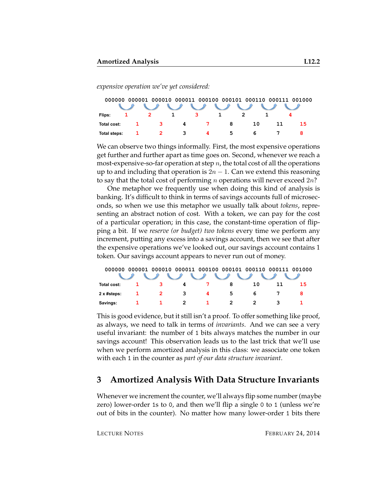*expensive operation we've yet considered:*

| 000000 000001 000010 000011 000100 000101 000110 000111 001000 |  |                            |   |                |   |    |  |    |  |  |  |  |
|----------------------------------------------------------------|--|----------------------------|---|----------------|---|----|--|----|--|--|--|--|
|                                                                |  |                            |   |                |   |    |  |    |  |  |  |  |
| Flips:                                                         |  |                            |   | 3.             |   |    |  |    |  |  |  |  |
| Total cost:                                                    |  | $\overline{\phantom{a}}$ 3 | 4 | $\overline{7}$ | 8 | 10 |  | 15 |  |  |  |  |
| Total steps:                                                   |  |                            | 3 |                | 5 |    |  |    |  |  |  |  |

We can observe two things informally. First, the most expensive operations get further and further apart as time goes on. Second, whenever we reach a most-expensive-so-far operation at step  $n$ , the total cost of all the operations up to and including that operation is  $2n - 1$ . Can we extend this reasoning to say that the total cost of performing *n* operations will never exceed  $2n$ ?

One metaphor we frequently use when doing this kind of analysis is banking. It's difficult to think in terms of savings accounts full of microseconds, so when we use this metaphor we usually talk about *tokens*, representing an abstract notion of cost. With a token, we can pay for the cost of a particular operation; in this case, the constant-time operation of flipping a bit. If we *reserve (or budget) two tokens* every time we perform any increment, putting any excess into a savings account, then we see that after the expensive operations we've looked out, our savings account contains 1 token. Our savings account appears to never run out of money.

| 000000                                                                                                                                                                                                                                                                                                                                                                                                                     |  |   |   | 000001 000010 000011 000100 000101 000110 000111 001000 |   |    |  |    |  |  |  |  |
|----------------------------------------------------------------------------------------------------------------------------------------------------------------------------------------------------------------------------------------------------------------------------------------------------------------------------------------------------------------------------------------------------------------------------|--|---|---|---------------------------------------------------------|---|----|--|----|--|--|--|--|
| $\begin{array}{c} \sqrt{2} & \sqrt{2} & \sqrt{2} & \sqrt{2} & \sqrt{2} & \sqrt{2} & \sqrt{2} & \sqrt{2} & \sqrt{2} & \sqrt{2} & \sqrt{2} & \sqrt{2} & \sqrt{2} & \sqrt{2} & \sqrt{2} & \sqrt{2} & \sqrt{2} & \sqrt{2} & \sqrt{2} & \sqrt{2} & \sqrt{2} & \sqrt{2} & \sqrt{2} & \sqrt{2} & \sqrt{2} & \sqrt{2} & \sqrt{2} & \sqrt{2} & \sqrt{2} & \sqrt{2} & \sqrt{2} & \sqrt{2} & \sqrt{2} & \sqrt{2} & \sqrt{2} & \sqrt{$ |  |   |   |                                                         |   |    |  |    |  |  |  |  |
| Total cost:                                                                                                                                                                                                                                                                                                                                                                                                                |  |   | 4 |                                                         | 8 | 10 |  | 15 |  |  |  |  |
| 2 x #steps:                                                                                                                                                                                                                                                                                                                                                                                                                |  | 2 | 3 | 4                                                       | 5 | 'n |  |    |  |  |  |  |
| Savings:                                                                                                                                                                                                                                                                                                                                                                                                                   |  |   |   |                                                         |   |    |  |    |  |  |  |  |

This is good evidence, but it still isn't a proof. To offer something like proof, as always, we need to talk in terms of *invariants*. And we can see a very useful invariant: the number of 1 bits always matches the number in our savings account! This observation leads us to the last trick that we'll use when we perform amortized analysis in this class: we associate one token with each 1 in the counter as *part of our data structure invariant*.

#### **3 Amortized Analysis With Data Structure Invariants**

Whenever we increment the counter, we'll always flip some number (maybe zero) lower-order 1s to 0, and then we'll flip a single 0 to 1 (unless we're out of bits in the counter). No matter how many lower-order 1 bits there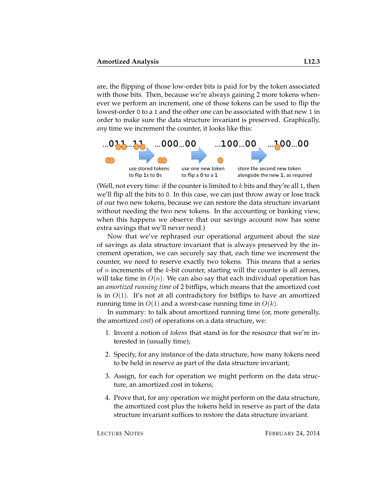are, the flipping of those low-order bits is paid for by the token associated with those bits. Then, because we're always gaining 2 more tokens whenever we perform an increment, one of those tokens can be used to flip the lowest-order 0 to a 1 and the other one can be associated with that new 1 in order to make sure the data structure invariant is preserved. Graphically, *any* time we increment the counter, it looks like this:



(Well, not every time: if the counter is limited to  $k$  bits and they're all 1, then we'll flip all the bits to 0. In this case, we can just throw away or lose track of our two new tokens, because we can restore the data structure invariant without needing the two new tokens. In the accounting or banking view, when this happens we observe that our savings account now has some extra savings that we'll never need.)

Now that we've rephrased our operational argument about the size of savings as data structure invariant that is always preserved by the increment operation, we can securely say that, each time we increment the counter, we need to reserve exactly two tokens. This means that a series of  $n$  increments of the  $k$ -bit counter, starting will the counter is all zeroes, will take time in  $O(n)$ . We can also say that each individual operation has an *amortized running time* of 2 bitflips, which means that the amortized cost is in  $O(1)$ . It's not at all contradictory for bitflips to have an amortized running time in  $O(1)$  and a worst-case running time in  $O(k)$ .

In summary: to talk about amortized running time (or, more generally, the amortized *cost*) of operations on a data structure, we:

- 1. Invent a notion of *tokens* that stand in for the resource that we're interested in (usually time);
- 2. Specify, for any instance of the data structure, how many tokens need to be held in reserve as part of the data structure invariant;
- 3. Assign, for each for operation we might perform on the data structure, an amortized cost in tokens;
- 4. Prove that, for any operation we might perform on the data structure, the amortized cost plus the tokens held in reserve as part of the data structure invariant suffices to restore the data structure invariant.

LECTURE NOTES FEBRUARY 24, 2014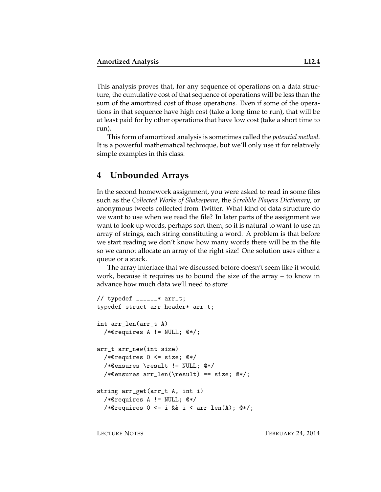This analysis proves that, for any sequence of operations on a data structure, the cumulative cost of that sequence of operations will be less than the sum of the amortized cost of those operations. Even if some of the operations in that sequence have high cost (take a long time to run), that will be at least paid for by other operations that have low cost (take a short time to run).

This form of amortized analysis is sometimes called the *potential method*. It is a powerful mathematical technique, but we'll only use it for relatively simple examples in this class.

#### **4 Unbounded Arrays**

In the second homework assignment, you were asked to read in some files such as the *Collected Works of Shakespeare*, the *Scrabble Players Dictionary*, or anonymous tweets collected from Twitter. What kind of data structure do we want to use when we read the file? In later parts of the assignment we want to look up words, perhaps sort them, so it is natural to want to use an array of strings, each string constituting a word. A problem is that before we start reading we don't know how many words there will be in the file so we cannot allocate an array of the right size! One solution uses either a queue or a stack.

The array interface that we discussed before doesn't seem like it would work, because it requires us to bound the size of the array – to know in advance how much data we'll need to store:

```
// typedef ______* arr_t;
typedef struct arr_header* arr_t;
int arr_len(arr_t A)
  /*@requires A != NULL; @*/;
arr_t arr_new(int size)
  /*@requires 0 <= size; @*/
  /*@ensures \result != NULL; @*/
  /*@ensures arr_len(\result) == size; @*/;
string arr_get(arr_t A, int i)
  /*@requires A != NULL; @*/
  /*@requires 0 \leq i && i \leq \arcsin(\Lambda); @*/;
```
LECTURE NOTES FEBRUARY 24, 2014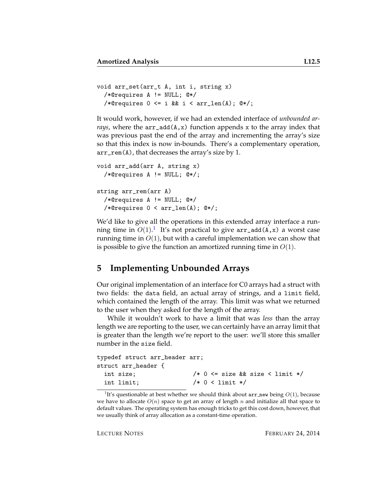```
void arr_set(arr_t A, int i, string x)
  /*@requires A != NULL; @*/
  /*@requires 0 \leq i & i \leq \arctan(A); @*/;
```
It would work, however, if we had an extended interface of *unbounded arrays*, where the arr\_add(A,x) function appends x to the array index that was previous past the end of the array and incrementing the array's size so that this index is now in-bounds. There's a complementary operation, arr\_rem(A), that decreases the array's size by 1.

```
void arr_add(arr A, string x)
  /*@requires A != NULL; @*/;
string arr_rem(arr A)
  /*@requires A != NULL; @*/
  /*@requires 0 < arr_len(A); @*/;
```
We'd like to give all the operations in this extended array interface a running time in  $O(1).^{1}$  $O(1).^{1}$  $O(1).^{1}$  It's not practical to give  $\texttt{arr\_add(A,x)}$  a worst case running time in  $O(1)$ , but with a careful implementation we can show that is possible to give the function an amortized running time in  $O(1)$ .

#### **5 Implementing Unbounded Arrays**

Our original implementation of an interface for C0 arrays had a struct with two fields: the data field, an actual array of strings, and a limit field, which contained the length of the array. This limit was what we returned to the user when they asked for the length of the array.

While it wouldn't work to have a limit that was *less* than the array length we are reporting to the user, we can certainly have an array limit that is greater than the length we're report to the user: we'll store this smaller number in the size field.

```
typedef struct arr_header arr;
struct arr_header {
 int size; /* 0 <= size && size < limit */
 int limit; /* 0 < limit */
```
<span id="page-4-0"></span><sup>&</sup>lt;sup>1</sup>It's questionable at best whether we should think about  $arr$  new being  $O(1)$ , because we have to allocate  $O(n)$  space to get an array of length n and initialize all that space to default values. The operating system has enough tricks to get this cost down, however, that we usually think of array allocation as a constant-time operation.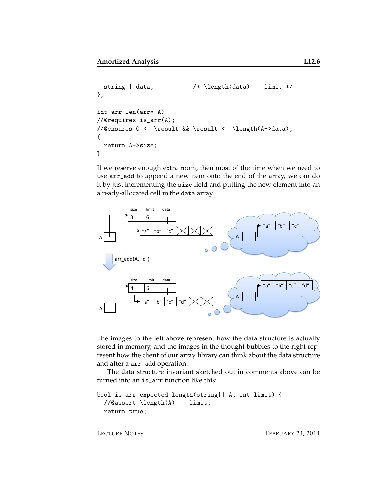```
string[] data; /* \left(\frac{data}{} == limit */};
int arr_len(arr* A)
//@requires is_arr(A);
//@ensures 0 <= \result && \result <= \length(A->data);
{
 return A->size;
}
```
If we reserve enough extra room, then most of the time when we need to use arr\_add to append a new item onto the end of the array, we can do it by just incrementing the size field and putting the new element into an already-allocated cell in the data array.



The images to the left above represent how the data structure is actually stored in memory, and the images in the thought bubbles to the right represent how the client of our array library can think about the data structure and after a arr\_add operation.

The data structure invariant sketched out in comments above can be turned into an is arr function like this:

```
bool is_arr_expected_length(string[] A, int limit) {
 //@assert \length(A) == limit;
 return true;
```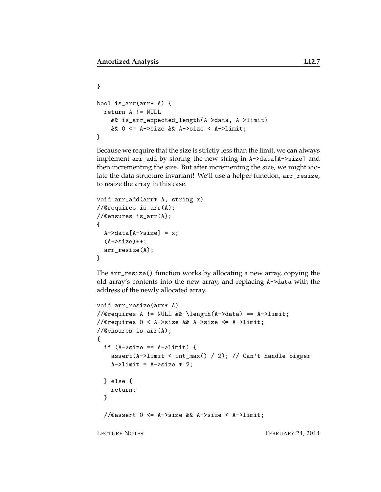```
}
bool is_arr(arr* A) {
  return A != NULL
    && is_arr_expected_length(A->data, A->limit)
    && 0 <= A->size && A->size < A->limit;
}
```
Because we require that the size is strictly less than the limit, we can always implement arr\_add by storing the new string in A->data[A->size] and then incrementing the size. But after incrementing the size, we might violate the data structure invariant! We'll use a helper function, arr\_resize, to resize the array in this case.

```
void arr_add(arr* A, string x)
//@requires is_arr(A);
//@ensures is_arr(A);
{
  A->data[A->size] = x;
  (A->size)++;arr_resize(A);
}
```
The arr\_resize() function works by allocating a new array, copying the old array's contents into the new array, and replacing A->data with the address of the newly allocated array.

```
void arr_resize(arr* A)
//@requires A != NULL && \length(A->data) == A->limit;
//@requires 0 < A->size && A->size <= A->limit;
//@ensures is_arr(A);
{
  if (A->size == A->limit) {
    assert(A->limit < int_max() / 2); // Can't handle bigger
    A \rightarrowlimit = A \rightarrowsize * 2;
  } else {
    return;
  }
  //@assert 0 <= A->size && A->size < A->limit;
```
LECTURE NOTES FEBRUARY 24, 2014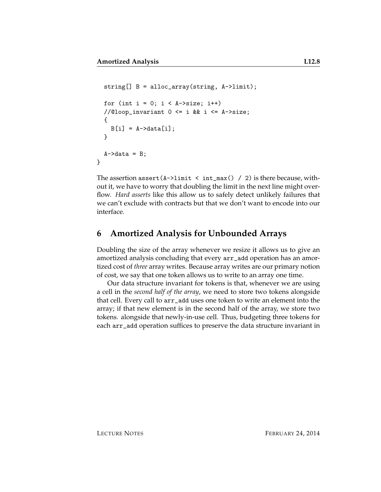```
string[] B = alloc_array(string, A->limit);
  for (int i = 0; i < A->size; i++)//@loop\_invariant 0 <= i && i <= A->size;
  {
    B[i] = A - \lambda \text{data}[i];}
  A->data = B;
}
```
The assertion assert  $(A-)$ limit < int\_max() / 2) is there because, without it, we have to worry that doubling the limit in the next line might overflow. *Hard asserts* like this allow us to safely detect unlikely failures that we can't exclude with contracts but that we don't want to encode into our interface.

### **6 Amortized Analysis for Unbounded Arrays**

Doubling the size of the array whenever we resize it allows us to give an amortized analysis concluding that every arr\_add operation has an amortized cost of *three* array writes. Because array writes are our primary notion of cost, we say that one token allows us to write to an array one time.

Our data structure invariant for tokens is that, whenever we are using a cell in the *second half of the array*, we need to store two tokens alongside that cell. Every call to arr\_add uses one token to write an element into the array; if that new element is in the second half of the array, we store two tokens. alongside that newly-in-use cell. Thus, budgeting three tokens for each arr\_add operation suffices to preserve the data structure invariant in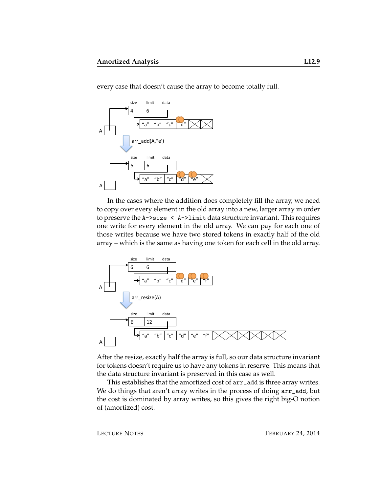every case that doesn't cause the array to become totally full.



In the cases where the addition does completely fill the array, we need to copy over every element in the old array into a new, larger array in order to preserve the A->size < A->limit data structure invariant. This requires one write for every element in the old array. We can pay for each one of those writes because we have two stored tokens in exactly half of the old array – which is the same as having one token for each cell in the old array.



After the resize, exactly half the array is full, so our data structure invariant for tokens doesn't require us to have any tokens in reserve. This means that the data structure invariant is preserved in this case as well.

This establishes that the amortized cost of arr\_add is three array writes. We do things that aren't array writes in the process of doing  $arr\_add$ , but the cost is dominated by array writes, so this gives the right big-O notion of (amortized) cost.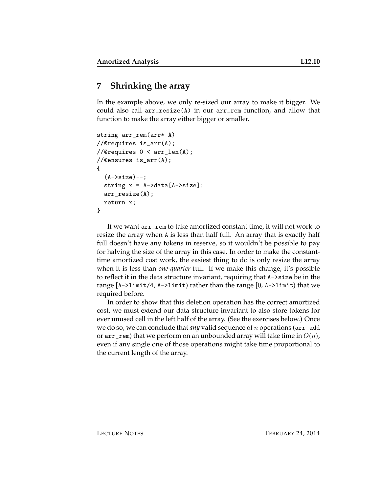## **7 Shrinking the array**

In the example above, we only re-sized our array to make it bigger. We could also call arr\_resize(A) in our arr\_rem function, and allow that function to make the array either bigger or smaller.

```
string arr_rem(arr* A)
//@requires is_arr(A);
//@requires 0 < arr_len(A);
//@ensures is_arr(A);
{
  (A->size) --;string x = A - \text{data}[A - \text{size}];
  arr_resize(A);
  return x;
}
```
If we want arr\_rem to take amortized constant time, it will not work to resize the array when A is less than half full. An array that is exactly half full doesn't have any tokens in reserve, so it wouldn't be possible to pay for halving the size of the array in this case. In order to make the constanttime amortized cost work, the easiest thing to do is only resize the array when it is less than *one-quarter* full. If we make this change, it's possible to reflect it in the data structure invariant, requiring that A->size be in the range  $[A-\lambda 1imit/4, A-\lambda 1imit)$  rather than the range  $[0, A-\lambda 1imit)$  that we required before.

In order to show that this deletion operation has the correct amortized cost, we must extend our data structure invariant to also store tokens for ever unused cell in the left half of the array. (See the exercises below.) Once we do so, we can conclude that *any* valid sequence of n operations (arr\_add or arr\_rem) that we perform on an unbounded array will take time in  $O(n)$ , even if any single one of those operations might take time proportional to the current length of the array.